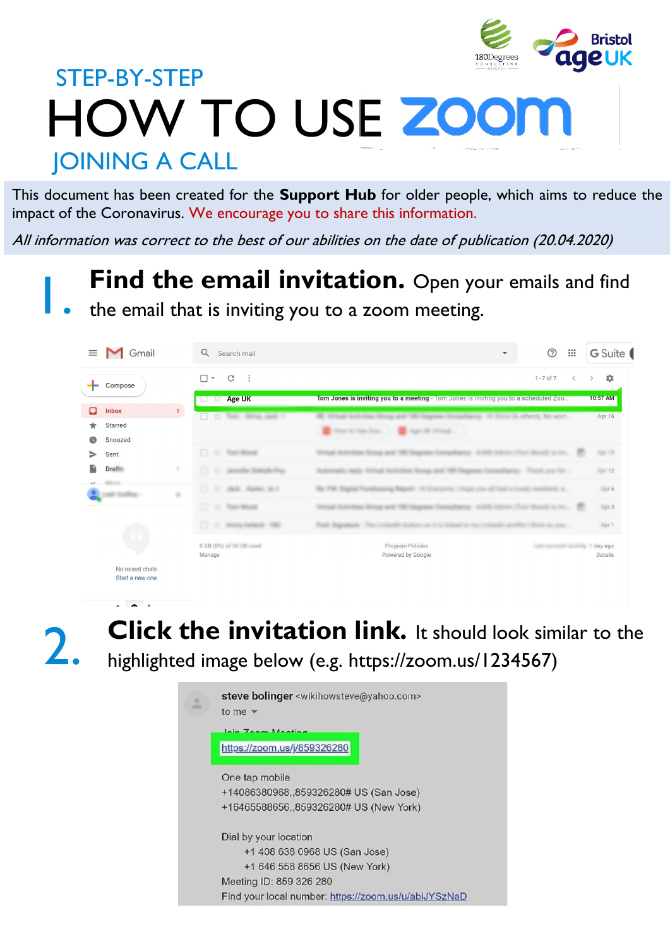

# HOW TO USE 200 STEP-BY-STEP **JOINING A CALL**

This document has been created for the **Support Hub** for older people, which aims to reduce the impact of the Coronavirus. We encourage you to share this information.

All information was correct to the best of our abilities on the date of publication (20.04.2020)

# Find the email invitation. Open your emails and find

the email that is inviting you to a zoom meeting.

| <b>M</b> Gmail<br>$\equiv$         |     | Q<br>Search mail                              | $\mathbf{v}$                                                                                                            | $^{\circledR}$                     | $\frac{0000}{000}$       | G Suite (          |
|------------------------------------|-----|-----------------------------------------------|-------------------------------------------------------------------------------------------------------------------------|------------------------------------|--------------------------|--------------------|
| Compose                            |     | $\Box$<br>C<br>$\ddot{\cdot}$<br>$\mathbf{v}$ |                                                                                                                         | $1 - 7$ of $7$                     | $\overline{\phantom{a}}$ | ٠<br>$\rightarrow$ |
|                                    |     | <b>Age UK</b><br>$\Sigma$<br>T                | Tom Jones is inviting you to a meeting - Tom Jones is inviting you to a scheduled Zoo                                   |                                    |                          | 10:57 AM           |
| Ω<br><b>Inbox</b><br>Starred       | 1   | Tom  Silvan Jack 11<br>$\frac{1}{2}$          | <b>EXAMPLE 2004 AND DESCRIPTION OF A SECOND ACTIVITY OF A SECOND ACTIVITY OF A SECOND ACTIVITY OF A SECOND ACTIVITY</b> |                                    |                          | Apr 16             |
| ★<br>ß<br>Snoozed                  |     |                                               | Age of the actual.<br>New Nether Day.                                                                                   |                                    |                          |                    |
| ⋗<br>Sent                          |     | $\Box$<br>Toyot Monacle                       | all Automation Group and 1981                                                                                           | <b>CONTRACTOR</b>                  |                          | 15                 |
| <b>Draft</b>                       | íŤ, |                                               | <b>THE SERIE TREE</b><br><b>William Street</b>                                                                          | Thank are the                      |                          | <b>MOT 12</b>      |
|                                    | ٠   | [2] St. Jack, Haren, Jack                     | THE Shadow Pra<br>to Magazit. All Promocents, I fingue sites all hand a hireda sensitional as                           |                                    |                          | Apr 6              |
|                                    |     | m<br>Trans Minister<br>m.                     | call Authoritate Writing and 1981 Dear<br>- 20 MHz - Audit calls                                                        | <b>Mineral Corp. Inc.</b>          |                          | Apr 3              |
|                                    |     | C. L. Storag traileral 1980                   | Ford: Signature: The<br>and the air company the cities<br><b>SERVICE STATE</b>                                          | <b>Book an any</b>                 |                          | Apr 1              |
|                                    |     | 0 GB (0%) of 30 GB used<br>Manage             | Program Policies<br>Powered by Google                                                                                   | and the second services of day ago |                          | Details            |
| No recent chats<br>Start a new one |     |                                               |                                                                                                                         |                                    |                          |                    |

2.

**Click the invitation link.** It should look similar to the highlighted image below (e.g. https://zoom.us/1234567)

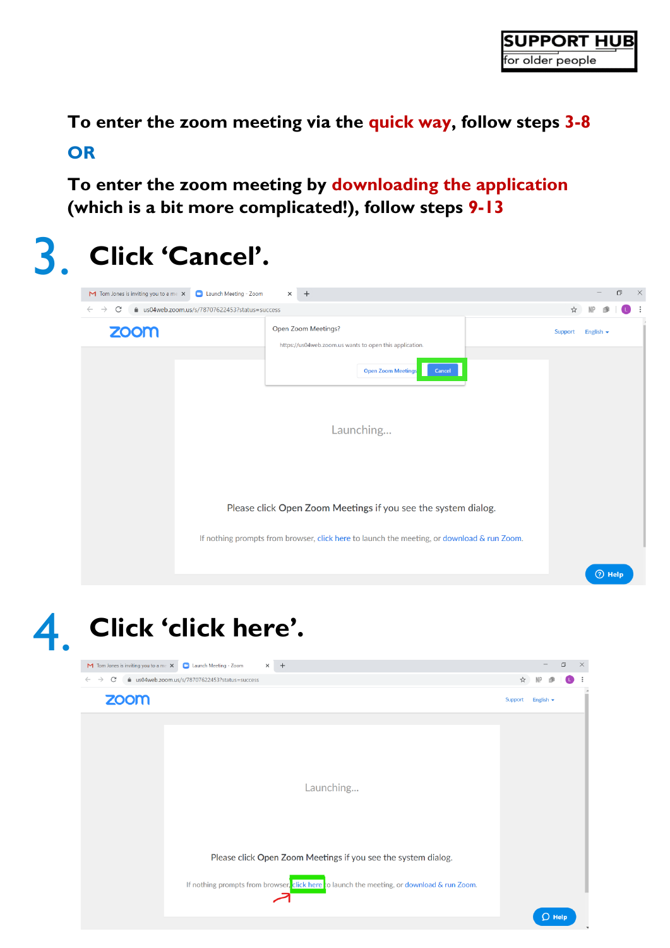$\Box$ 

 $\overline{D}$  Help

 $NP$ 

**To enter the zoom meeting via the quick way, follow steps 3-8 OR**

**To enter the zoom meeting by downloading the application (which is a bit more complicated!), follow steps 9-13**



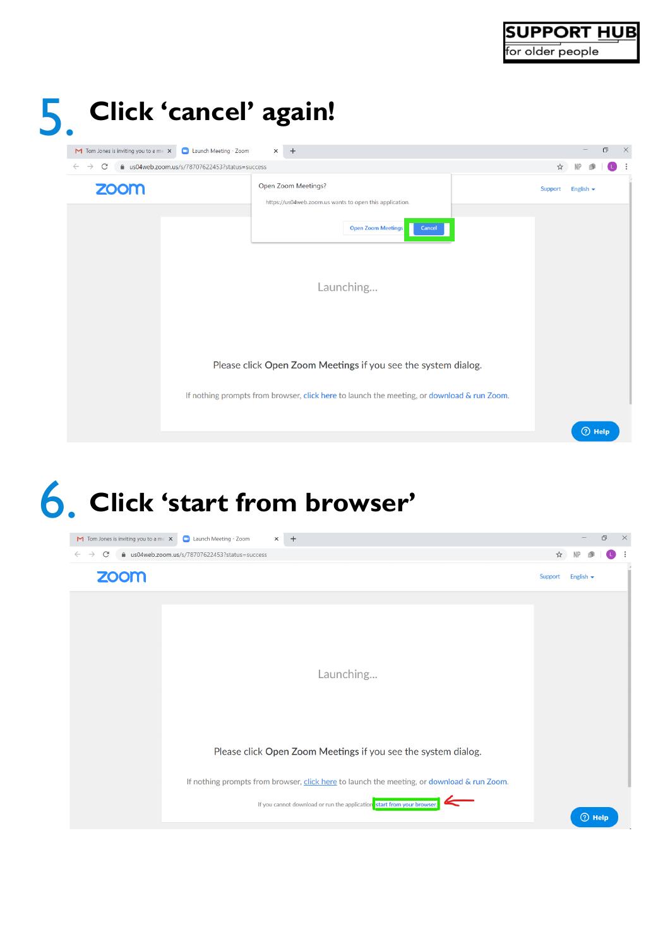

|                                           | Click 'cancel' again!                                                                      |         |                |   |          |
|-------------------------------------------|--------------------------------------------------------------------------------------------|---------|----------------|---|----------|
| $M$ Tom Jones is inviting you to a me $X$ | Launch Meeting - Zoom<br>$+$<br>$\times$                                                   |         |                | σ | $\times$ |
| C<br>$\leftarrow$<br>$\rightarrow$        | ■ us04web.zoom.us/s/78707622453?status=success                                             | ☆       |                |   |          |
| <b>ZOOM</b>                               | Open Zoom Meetings?<br>https://us04web.zoom.us wants to open this application.             | Support | English $\sim$ |   |          |
|                                           | <b>Open Zoom Meetings</b><br>Cancel                                                        |         |                |   |          |
|                                           |                                                                                            |         |                |   |          |
|                                           | Launching                                                                                  |         |                |   |          |
|                                           |                                                                                            |         |                |   |          |
|                                           | Please click Open Zoom Meetings if you see the system dialog.                              |         |                |   |          |
|                                           | If nothing prompts from browser, click here to launch the meeting, or download & run Zoom. |         |                |   |          |
|                                           |                                                                                            |         | $(2)$ Help     |   |          |

### 6. **Click 'start from browser'**

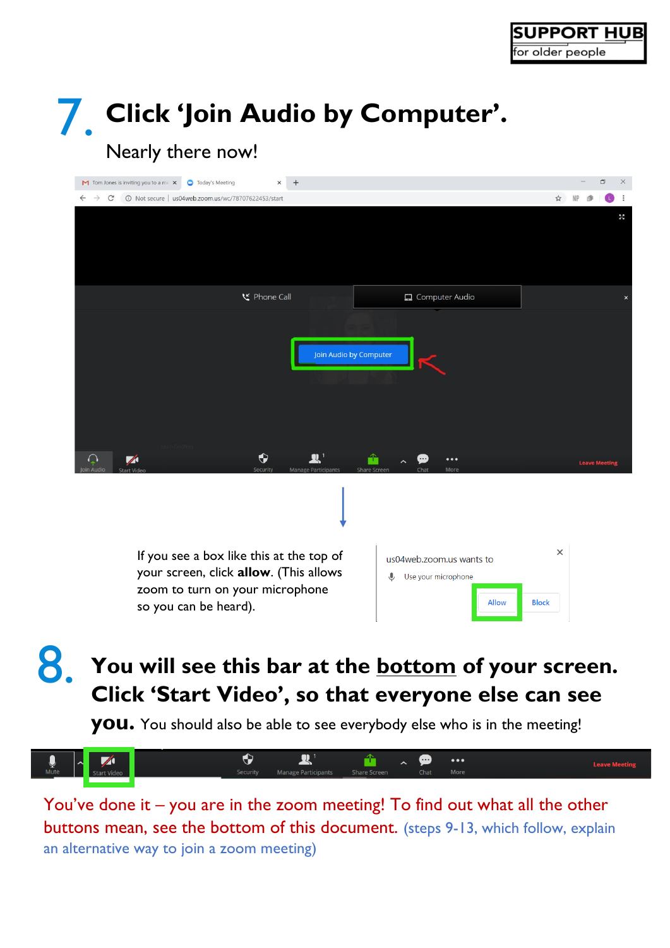# 7. **Click 'Join Audio by Computer'.**

#### Nearly there now!

| M Tom Jones is inviting you to a me X<br><b>O</b> Today's Meeting<br>×                                                                         | $^{+}$                                                                                     |                          | $\Box$<br>$\times$        |
|------------------------------------------------------------------------------------------------------------------------------------------------|--------------------------------------------------------------------------------------------|--------------------------|---------------------------|
| $\leftarrow$<br>$\rightarrow$<br>10 Not secure   us04web.zoom.us/wc/78707622453/start<br>C                                                     |                                                                                            | $*$<br><b>NP</b>         |                           |
|                                                                                                                                                |                                                                                            |                          | $\frac{1}{2}$             |
| <b>ビ</b> Phone Call                                                                                                                            | Computer Audio                                                                             |                          | $\boldsymbol{\mathsf{x}}$ |
|                                                                                                                                                | Join Audio by Computer                                                                     |                          |                           |
| $\bullet$<br>$\bigcap$<br>$\blacktriangledown$<br><b>Security</b><br>oin Audic                                                                 | T<br>$\bullet\bullet\bullet$<br><b>Manage Participants</b><br>Share Screen<br>More<br>Chat | <b>Leave Meeting</b>     |                           |
|                                                                                                                                                |                                                                                            |                          |                           |
| If you see a box like this at the top of<br>your screen, click allow. (This allows<br>zoom to turn on your microphone<br>so you can be heard). | us04web.zoom.us wants to<br>Use your microphone<br>€<br><b>Allow</b>                       | $\times$<br><b>Block</b> |                           |

#### 8. **You will see this bar at the bottom of your screen. Click 'Start Video', so that everyone else can see**

**you.** You should also be able to see everybody else who is in the meeting!



You've done it – you are in the zoom meeting! To find out what all the other buttons mean, see the bottom of this document. (steps 9-13, which follow, explain an alternative way to join a zoom meeting)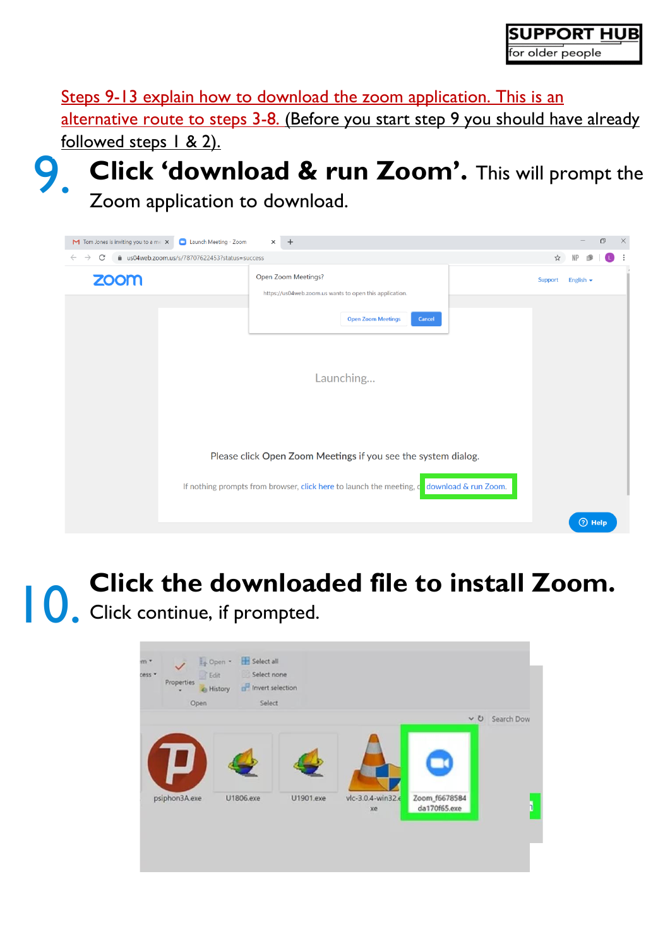Steps 9-13 explain how to download the zoom application. This is an alternative route to steps 3-8. (Before you start step 9 you should have already followed steps 1 & 2).





10. **Click the downloaded file to install Zoom.**  Click continue, if prompted.

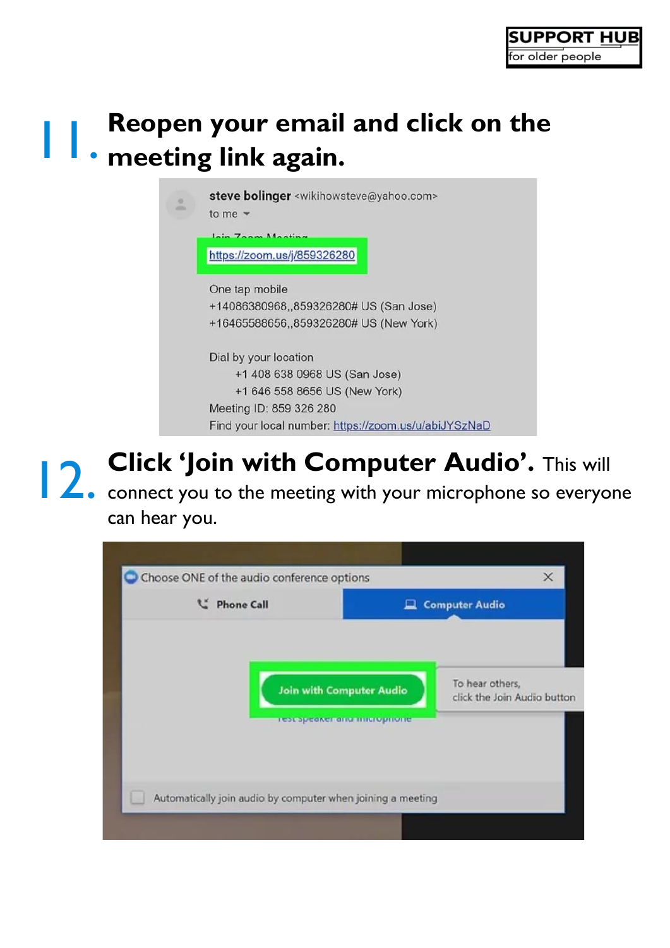#### 11. **Reopen your email and click on the meeting link again.**

|  | steve bolinger <wikihowsteve@yahoo.com><br/>to me <math>\sqrt{ }</math></wikihowsteve@yahoo.com> |  |  |  |  |
|--|--------------------------------------------------------------------------------------------------|--|--|--|--|
|  | Zoom Mooth                                                                                       |  |  |  |  |
|  | https://zoom.us/j/859326280                                                                      |  |  |  |  |
|  | One tap mobile                                                                                   |  |  |  |  |
|  | +14086380968,,859326280# US (San Jose)                                                           |  |  |  |  |
|  | +16465588656,,859326280# US (New York)                                                           |  |  |  |  |
|  | Dial by your location                                                                            |  |  |  |  |
|  | +1 408 638 0968 US (San Jose)                                                                    |  |  |  |  |
|  | +1 646 558 8656 US (New York)                                                                    |  |  |  |  |
|  | Meeting ID: 859 326 280                                                                          |  |  |  |  |
|  | Find your local number: https://zoom.us/u/abiJYSzNaD                                             |  |  |  |  |

**12. Click 'Join with Computer Audio'.** This will computer **Audio'.** This will connect you to the meeting with your microphone so everyone **Click 'Join with Computer Audio'.** This will

can hear you.